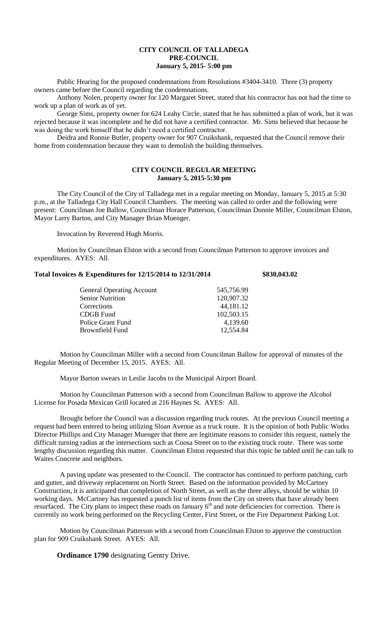## **CITY COUNCIL OF TALLADEGA PRE-COUNCIL January 5, 2015- 5:00 pm**

Public Hearing for the proposed condemnations from Resolutions #3404-3410. Three (3) property owners came before the Council regarding the condemnations.

Anthony Nolen, property owner for 120 Margaret Street, stated that his contractor has not had the time to work up a plan of work as of yet.

George Sims, property owner for 624 Leahy Circle, stated that he has submitted a plan of work, but it was rejected because it was incomplete and he did not have a certified contractor. Mr. Sims believed that because he was doing the work himself that he didn't need a certified contractor.

Deidra and Ronnie Butler, property owner for 907 Cruikshank, requested that the Council remove their home from condemnation because they want to demolish the building themselves.

## **CITY COUNCIL REGULAR MEETING January 5, 2015-5:30 pm**

The City Council of the City of Talladega met in a regular meeting on Monday, January 5, 2015 at 5:30 p.m., at the Talladega City Hall Council Chambers. The meeting was called to order and the following were present: Councilman Joe Ballow, Councilman Horace Patterson, Councilman Donnie Miller, Councilman Elston, Mayor Larry Barton, and City Manager Brian Muenger.

Invocation by Reverend Hugh Morris.

Motion by Councilman Elston with a second from Councilman Patterson to approve invoices and expenditures. AYES: All.

## **Total Invoices & Expenditures for 12/15/2014 to 12/31/2014 \$830,043.02**

| <b>General Operating Account</b> | 545,756.99 |
|----------------------------------|------------|
| <b>Senior Nutrition</b>          | 120,907.32 |
| Corrections                      | 44,181.12  |
| CDGB Fund                        | 102,503.15 |
| Police Grant Fund                | 4,139.60   |
| Brownfield Fund                  | 12,554.84  |

Motion by Councilman Miller with a second from Councilman Ballow for approval of minutes of the Regular Meeting of December 15, 2015. AYES: All.

Mayor Barton swears in Leslie Jacobs to the Municipal Airport Board.

Motion by Councilman Patterson with a second from Councilman Ballow to approve the Alcohol License for Posada Mexican Grill located at 216 Haynes St. AYES: All.

Brought before the Council was a discussion regarding truck routes. At the previous Council meeting a request had been entered to being utilizing Sloan Avenue as a truck route. It is the opinion of both Public Works Director Phillips and City Manager Muenger that there are legitimate reasons to consider this request, namely the difficult turning radius at the intersections such as Coosa Street on to the existing truck route. There was some lengthy discussion regarding this matter. Councilman Elston requested that this topic be tabled until he can talk to Waites Concrete and neighbors.

A paving update was presented to the Council. The contractor has continued to perform patching, curb and gutter, and driveway replacement on North Street. Based on the information provided by McCartney Construction, it is anticipated that completion of North Street, as well as the three alleys, should be within 10 working days. McCartney has requested a punch list of items from the City on streets that have already been working days. Mecanincy has requested a punel list of neiths from the City on streets that have already been<br>resurfaced. The City plans to inspect these roads on January  $6<sup>th</sup>$  and note deficiencies for correction. Th currently no work being performed on the Recycling Center, First Street, or the Fire Department Parking Lot.

Motion by Councilman Patterson with a second from Councilman Elston to approve the construction plan for 909 Cruikshank Street. AYES: All.

**Ordinance 1790** designating Gentry Drive.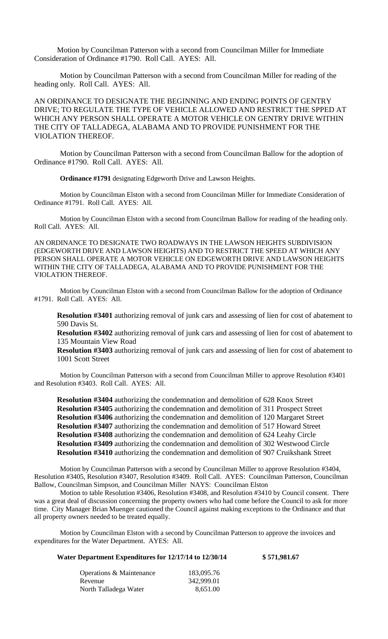Motion by Councilman Patterson with a second from Councilman Miller for Immediate Consideration of Ordinance #1790. Roll Call. AYES: All.

Motion by Councilman Patterson with a second from Councilman Miller for reading of the heading only. Roll Call. AYES: All.

AN ORDINANCE TO DESIGNATE THE BEGINNING AND ENDING POINTS OF GENTRY DRIVE; TO REGULATE THE TYPE OF VEHICLE ALLOWED AND RESTRICT THE SPPED AT WHICH ANY PERSON SHALL OPERATE A MOTOR VEHICLE ON GENTRY DRIVE WITHIN THE CITY OF TALLADEGA, ALABAMA AND TO PROVIDE PUNISHMENT FOR THE VIOLATION THEREOF.

Motion by Councilman Patterson with a second from Councilman Ballow for the adoption of Ordinance #1790. Roll Call. AYES: All.

**Ordinance #1791** designating Edgeworth Drive and Lawson Heights.

Motion by Councilman Elston with a second from Councilman Miller for Immediate Consideration of Ordinance #1791. Roll Call. AYES: All.

Motion by Councilman Elston with a second from Councilman Ballow for reading of the heading only. Roll Call. AYES: All.

AN ORDINANCE TO DESIGNATE TWO ROADWAYS IN THE LAWSON HEIGHTS SUBDIVISION (EDGEWORTH DRIVE AND LAWSON HEIGHTS) AND TO RESTRICT THE SPEED AT WHICH ANY PERSON SHALL OPERATE A MOTOR VEHICLE ON EDGEWORTH DRIVE AND LAWSON HEIGHTS WITHIN THE CITY OF TALLADEGA, ALABAMA AND TO PROVIDE PUNISHMENT FOR THE VIOLATION THEREOF.

Motion by Councilman Elston with a second from Councilman Ballow for the adoption of Ordinance #1791. Roll Call. AYES: All.

**Resolution #3401** authorizing removal of junk cars and assessing of lien for cost of abatement to 590 Davis St.

**Resolution #3402** authorizing removal of junk cars and assessing of lien for cost of abatement to 135 Mountain View Road

**Resolution #3403** authorizing removal of junk cars and assessing of lien for cost of abatement to 1001 Scott Street

Motion by Councilman Patterson with a second from Councilman Miller to approve Resolution #3401 and Resolution #3403. Roll Call. AYES: All.

**Resolution #3404** authorizing the condemnation and demolition of 628 Knox Street **Resolution #3405** authorizing the condemnation and demolition of 311 Prospect Street **Resolution #3406** authorizing the condemnation and demolition of 120 Margaret Street **Resolution #3407** authorizing the condemnation and demolition of 517 Howard Street **Resolution #3408** authorizing the condemnation and demolition of 624 Leahy Circle **Resolution #3409** authorizing the condemnation and demolition of 302 Westwood Circle **Resolution #3410** authorizing the condemnation and demolition of 907 Cruikshank Street

Motion by Councilman Patterson with a second by Councilman Miller to approve Resolution #3404, Resolution #3405, Resolution #3407, Resolution #3409. Roll Call. AYES: Councilman Patterson, Councilman Ballow, Councilman Simpson, and Councilman Miller NAYS: Councilman Elston

Motion to table Resolution #3406, Resolution #3408, and Resolution #3410 by Council consent. There was a great deal of discussion concerning the property owners who had come before the Council to ask for more time. City Manager Brian Muenger cautioned the Council against making exceptions to the Ordinance and that all property owners needed to be treated equally.

Motion by Councilman Elston with a second by Councilman Patterson to approve the invoices and expenditures for the Water Department. AYES: All.

**Water Department Expenditures for 12/17/14 to 12/30/14 \$ 571,981.67**

| <b>Operations &amp; Maintenance</b> | 183,095.76 |
|-------------------------------------|------------|
| Revenue                             | 342,999.01 |
| North Talladega Water               | 8.651.00   |